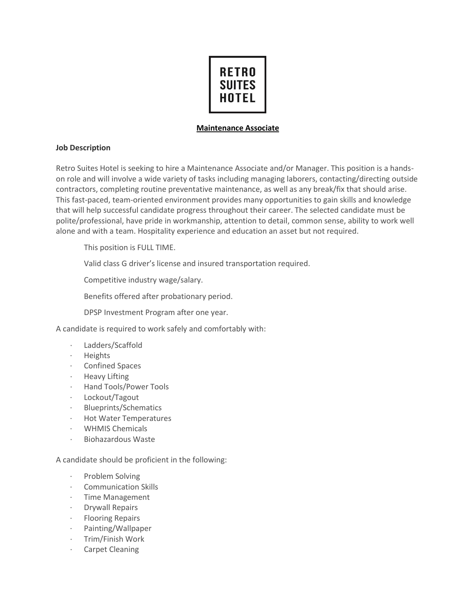

## **Maintenance Associate**

## **Job Description**

Retro Suites Hotel is seeking to hire a Maintenance Associate and/or Manager. This position is a handson role and will involve a wide variety of tasks including managing laborers, contacting/directing outside contractors, completing routine preventative maintenance, as well as any break/fix that should arise. This fast-paced, team-oriented environment provides many opportunities to gain skills and knowledge that will help successful candidate progress throughout their career. The selected candidate must be polite/professional, have pride in workmanship, attention to detail, common sense, ability to work well alone and with a team. Hospitality experience and education an asset but not required.

This position is FULL TIME.

Valid class G driver's license and insured transportation required.

Competitive industry wage/salary.

Benefits offered after probationary period.

DPSP Investment Program after one year.

A candidate is required to work safely and comfortably with:

- Ladders/Scaffold
- · Heights
- · Confined Spaces
- · Heavy Lifting
- · Hand Tools/Power Tools
- Lockout/Tagout
- · Blueprints/Schematics
- · Hot Water Temperatures
- · WHMIS Chemicals
- · Biohazardous Waste

A candidate should be proficient in the following:

- Problem Solving
- · Communication Skills
- · Time Management
- · Drywall Repairs
- · Flooring Repairs
- · Painting/Wallpaper
- · Trim/Finish Work
- · Carpet Cleaning